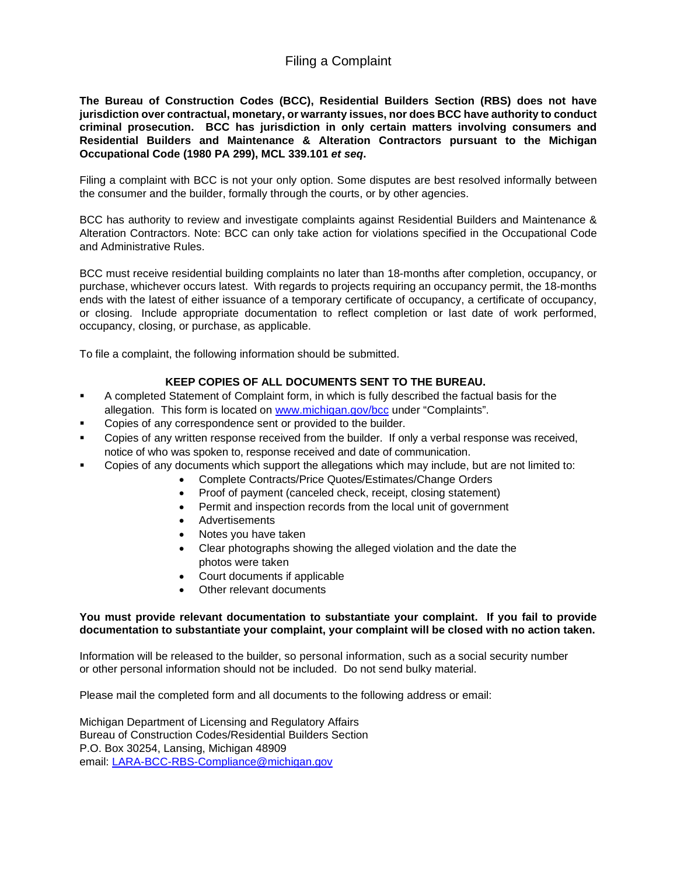# Filing a Complaint

**The Bureau of Construction Codes (BCC), Residential Builders Section (RBS) does not have jurisdiction over contractual, monetary, or warranty issues, nor does BCC have authority to conduct criminal prosecution. BCC has jurisdiction in only certain matters involving consumers and Residential Builders and Maintenance & Alteration Contractors pursuant to the Michigan Occupational Code (1980 PA 299), MCL 339.101** *et seq***.** 

Filing a complaint with BCC is not your only option. Some disputes are best resolved informally between the consumer and the builder, formally through the courts, or by other agencies.

BCC has authority to review and investigate complaints against Residential Builders and Maintenance & Alteration Contractors. Note: BCC can only take action for violations specified in the Occupational Code and Administrative Rules.

BCC must receive residential building complaints no later than 18-months after completion, occupancy, or purchase, whichever occurs latest. With regards to projects requiring an occupancy permit, the 18-months ends with the latest of either issuance of a temporary certificate of occupancy, a certificate of occupancy, or closing. Include appropriate documentation to reflect completion or last date of work performed, occupancy, closing, or purchase, as applicable.

To file a complaint, the following information should be submitted.

### **KEEP COPIES OF ALL DOCUMENTS SENT TO THE BUREAU.**

- A completed Statement of Complaint form, in which is fully described the factual basis for the allegation. This form is located on [www.michigan.gov/bcc](http://www.michigan.gov/bcc) under "Complaints".
- Copies of any correspondence sent or provided to the builder.
- Copies of any written response received from the builder. If only a verbal response was received, notice of who was spoken to, response received and date of communication.
- Copies of any documents which support the allegations which may include, but are not limited to:
	- Complete Contracts/Price Quotes/Estimates/Change Orders
	- Proof of payment (canceled check, receipt, closing statement)
	- Permit and inspection records from the local unit of government
	- Advertisements
	- Notes you have taken
	- Clear photographs showing the alleged violation and the date the photos were taken
	- Court documents if applicable
	- Other relevant documents

### **You must provide relevant documentation to substantiate your complaint. If you fail to provide documentation to substantiate your complaint, your complaint will be closed with no action taken.**

Information will be released to the builder, so personal information, such as a social security number or other personal information should not be included. Do not send bulky material.

Please mail the completed form and all documents to the following address or email:

Michigan Department of Licensing and Regulatory Affairs Bureau of Construction Codes/Residential Builders Section P.O. Box 30254, Lansing, Michigan 48909 email: [LARA-BCC-RBS-Compliance@michigan.gov](mailto:LARA-BCC-RBS-Compliance@michigan.gov)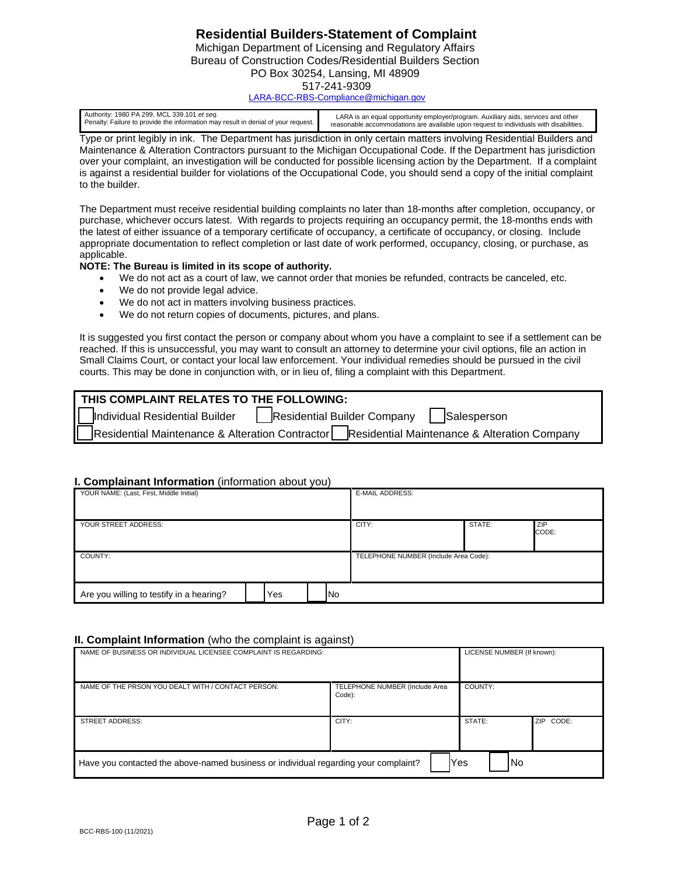# **Residential Builders-Statement of Complaint**

Michigan Department of Licensing and Regulatory Affairs Bureau of Construction Codes/Residential Builders Section PO Box 30254, Lansing, MI 48909 517-241-9309

[LARA-BCC-RBS-Compliance@michigan.gov](mailto:LARA-BCC-RBS-Compliance@michigan.gov)

| Authority: 1980 PA 299, MCL 339.101 et seq.                                       | LARA is an equal opportunity employer/program. Auxiliary aids, services and other      |
|-----------------------------------------------------------------------------------|----------------------------------------------------------------------------------------|
| Penalty: Failure to provide the information may result in denial of your request. | reasonable accommodations are available upon request to individuals with disabilities. |

Type or print legibly in ink. The Department has jurisdiction in only certain matters involving Residential Builders and Maintenance & Alteration Contractors pursuant to the Michigan Occupational Code. If the Department has jurisdiction over your complaint, an investigation will be conducted for possible licensing action by the Department. If a complaint is against a residential builder for violations of the Occupational Code, you should send a copy of the initial complaint to the builder.

The Department must receive residential building complaints no later than 18-months after completion, occupancy, or purchase, whichever occurs latest. With regards to projects requiring an occupancy permit, the 18-months ends with the latest of either issuance of a temporary certificate of occupancy, a certificate of occupancy, or closing. Include appropriate documentation to reflect completion or last date of work performed, occupancy, closing, or purchase, as applicable.

#### **NOTE: The Bureau is limited in its scope of authority.**

- We do not act as a court of law, we cannot order that monies be refunded, contracts be canceled, etc.
- We do not provide legal advice.
- We do not act in matters involving business practices.
- We do not return copies of documents, pictures, and plans.

It is suggested you first contact the person or company about whom you have a complaint to see if a settlement can be reached. If this is unsuccessful, you may want to consult an attorney to determine your civil options, file an action in Small Claims Court, or contact your local law enforcement. Your individual remedies should be pursued in the civil courts. This may be done in conjunction with, or in lieu of, filing a complaint with this Department.

| THIS COMPLAINT RELATES TO THE FOLLOWING:                                                     |  |                                                                            |  |  |
|----------------------------------------------------------------------------------------------|--|----------------------------------------------------------------------------|--|--|
|                                                                                              |  | Individual Residential Builder   Residential Builder Company   Salesperson |  |  |
| Residential Maintenance & Alteration Contractor Residential Maintenance & Alteration Company |  |                                                                            |  |  |

#### **I. Complainant Information** (information about you)

| YOUR NAME: (Last, First, Middle Initial) |  |     |                                       | <b>E-MAIL ADDRESS:</b> |        |              |
|------------------------------------------|--|-----|---------------------------------------|------------------------|--------|--------------|
| YOUR STREET ADDRESS:                     |  |     |                                       | CITY:                  | STATE: | ZIP<br>CODE: |
| COUNTY:                                  |  |     | TELEPHONE NUMBER (Include Area Code): |                        |        |              |
| Are you willing to testify in a hearing? |  | Yes | lNo                                   |                        |        |              |

#### **II. Complaint Information** (who the complaint is against)

| NAME OF BUSINESS OR INDIVIDUAL LICENSEE COMPLAINT IS REGARDING:                     | LICENSE NUMBER (If known):               |                     |  |  |
|-------------------------------------------------------------------------------------|------------------------------------------|---------------------|--|--|
| NAME OF THE PRSON YOU DEALT WITH / CONTACT PERSON:                                  | TELEPHONE NUMBER (Include Area<br>Code): | COUNTY:             |  |  |
| <b>STREET ADDRESS:</b>                                                              | CITY:                                    | STATE:<br>ZIP CODE: |  |  |
| Have you contacted the above-named business or individual regarding your complaint? |                                          | <b>No</b><br>Yes    |  |  |